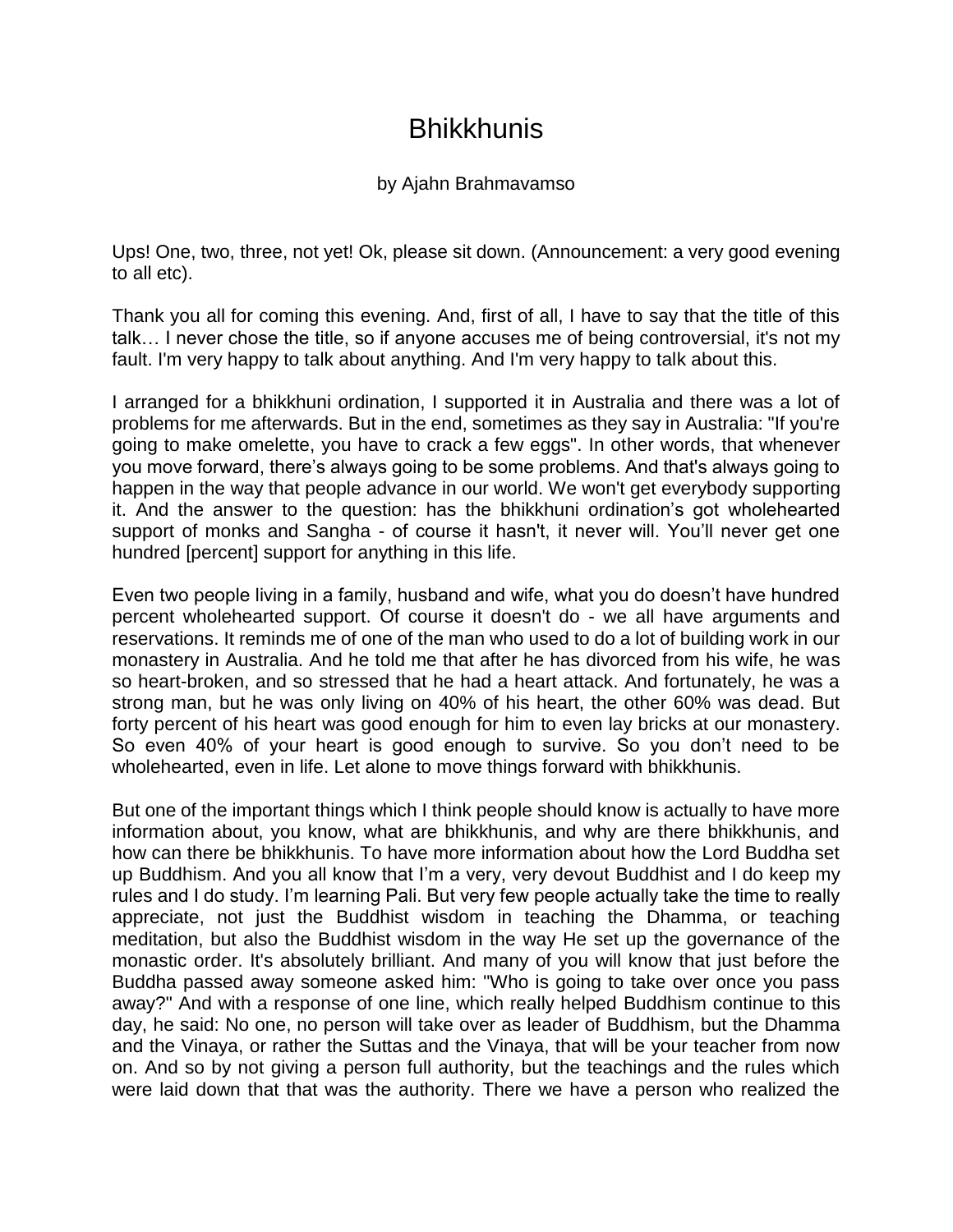## Bhikkhunis

## by Ajahn Brahmavamso

Ups! One, two, three, not yet! Ok, please sit down. (Announcement: a very good evening to all etc).

Thank you all for coming this evening. And, first of all, I have to say that the title of this talk… I never chose the title, so if anyone accuses me of being controversial, it's not my fault. I'm very happy to talk about anything. And I'm very happy to talk about this.

I arranged for a bhikkhuni ordination, I supported it in Australia and there was a lot of problems for me afterwards. But in the end, sometimes as they say in Australia: "If you're going to make omelette, you have to crack a few eggs". In other words, that whenever you move forward, there's always going to be some problems. And that's always going to happen in the way that people advance in our world. We won't get everybody supporting it. And the answer to the question: has the bhikkhuni ordination's got wholehearted support of monks and Sangha - of course it hasn't, it never will. You'll never get one hundred [percent] support for anything in this life.

Even two people living in a family, husband and wife, what you do doesn't have hundred percent wholehearted support. Of course it doesn't do - we all have arguments and reservations. It reminds me of one of the man who used to do a lot of building work in our monastery in Australia. And he told me that after he has divorced from his wife, he was so heart-broken, and so stressed that he had a heart attack. And fortunately, he was a strong man, but he was only living on 40% of his heart, the other 60% was dead. But forty percent of his heart was good enough for him to even lay bricks at our monastery. So even 40% of your heart is good enough to survive. So you don't need to be wholehearted, even in life. Let alone to move things forward with bhikkhunis.

But one of the important things which I think people should know is actually to have more information about, you know, what are bhikkhunis, and why are there bhikkhunis, and how can there be bhikkhunis. To have more information about how the Lord Buddha set up Buddhism. And you all know that I'm a very, very devout Buddhist and I do keep my rules and I do study. I'm learning Pali. But very few people actually take the time to really appreciate, not just the Buddhist wisdom in teaching the Dhamma, or teaching meditation, but also the Buddhist wisdom in the way He set up the governance of the monastic order. It's absolutely brilliant. And many of you will know that just before the Buddha passed away someone asked him: "Who is going to take over once you pass away?" And with a response of one line, which really helped Buddhism continue to this day, he said: No one, no person will take over as leader of Buddhism, but the Dhamma and the Vinaya, or rather the Suttas and the Vinaya, that will be your teacher from now on. And so by not giving a person full authority, but the teachings and the rules which were laid down that that was the authority. There we have a person who realized the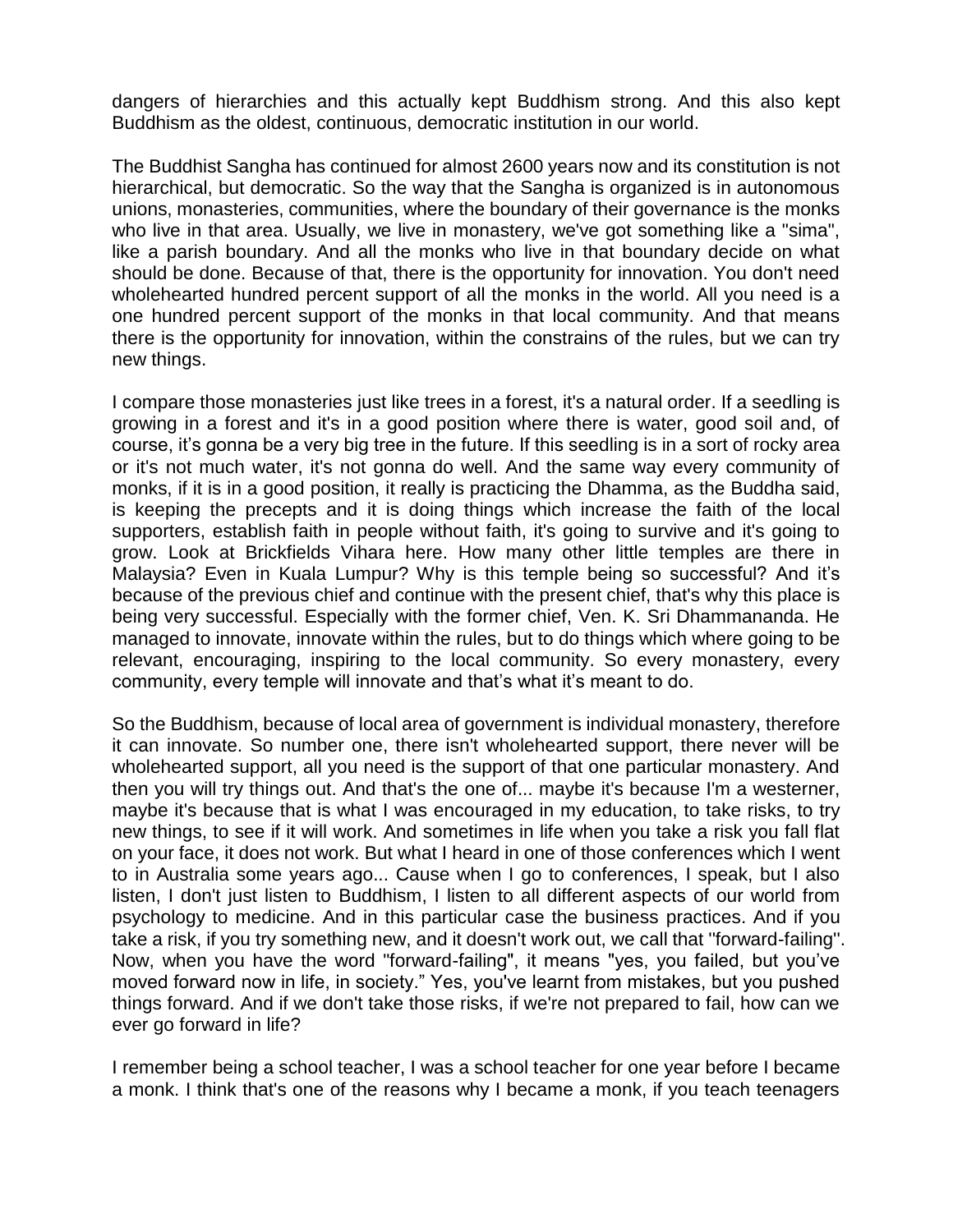dangers of hierarchies and this actually kept Buddhism strong. And this also kept Buddhism as the oldest, continuous, democratic institution in our world.

The Buddhist Sangha has continued for almost 2600 years now and its constitution is not hierarchical, but democratic. So the way that the Sangha is organized is in autonomous unions, monasteries, communities, where the boundary of their governance is the monks who live in that area. Usually, we live in monastery, we've got something like a "sima", like a parish boundary. And all the monks who live in that boundary decide on what should be done. Because of that, there is the opportunity for innovation. You don't need wholehearted hundred percent support of all the monks in the world. All you need is a one hundred percent support of the monks in that local community. And that means there is the opportunity for innovation, within the constrains of the rules, but we can try new things.

I compare those monasteries just like trees in a forest, it's a natural order. If a seedling is growing in a forest and it's in a good position where there is water, good soil and, of course, it's gonna be a very big tree in the future. If this seedling is in a sort of rocky area or it's not much water, it's not gonna do well. And the same way every community of monks, if it is in a good position, it really is practicing the Dhamma, as the Buddha said, is keeping the precepts and it is doing things which increase the faith of the local supporters, establish faith in people without faith, it's going to survive and it's going to grow. Look at Brickfields Vihara here. How many other little temples are there in Malaysia? Even in Kuala Lumpur? Why is this temple being so successful? And it's because of the previous chief and continue with the present chief, that's why this place is being very successful. Especially with the former chief, Ven. K. Sri Dhammananda. He managed to innovate, innovate within the rules, but to do things which where going to be relevant, encouraging, inspiring to the local community. So every monastery, every community, every temple will innovate and that's what it's meant to do.

So the Buddhism, because of local area of government is individual monastery, therefore it can innovate. So number one, there isn't wholehearted support, there never will be wholehearted support, all you need is the support of that one particular monastery. And then you will try things out. And that's the one of... maybe it's because I'm a westerner, maybe it's because that is what I was encouraged in my education, to take risks, to try new things, to see if it will work. And sometimes in life when you take a risk you fall flat on your face, it does not work. But what I heard in one of those conferences which I went to in Australia some years ago... Cause when I go to conferences, I speak, but I also listen, I don't just listen to Buddhism, I listen to all different aspects of our world from psychology to medicine. And in this particular case the business practices. And if you take a risk, if you try something new, and it doesn't work out, we call that ''forward-failing''. Now, when you have the word "forward-failing", it means "yes, you failed, but you've moved forward now in life, in society." Yes, you've learnt from mistakes, but you pushed things forward. And if we don't take those risks, if we're not prepared to fail, how can we ever go forward in life?

I remember being a school teacher, I was a school teacher for one year before I became a monk. I think that's one of the reasons why I became a monk, if you teach teenagers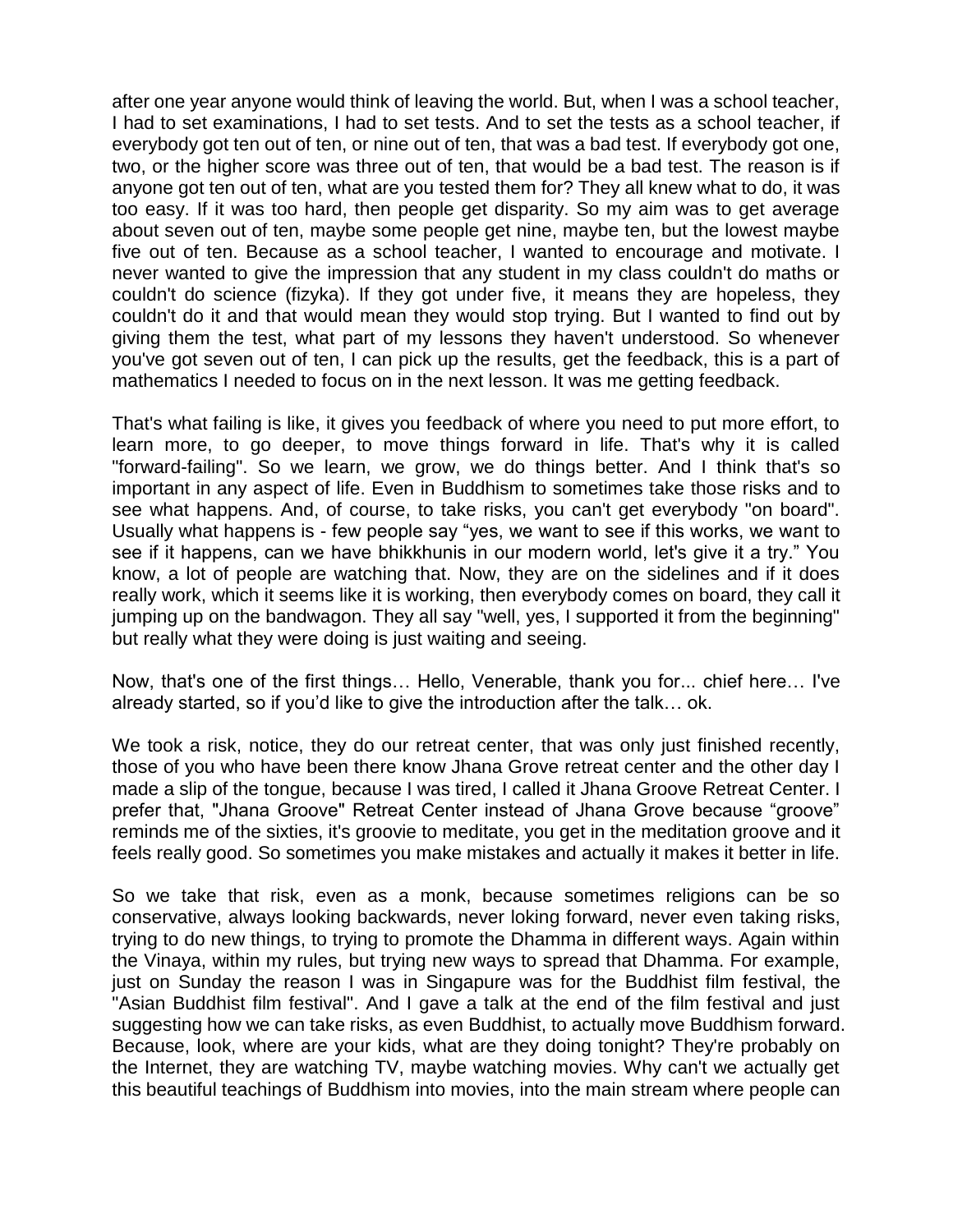after one year anyone would think of leaving the world. But, when I was a school teacher, I had to set examinations, I had to set tests. And to set the tests as a school teacher, if everybody got ten out of ten, or nine out of ten, that was a bad test. If everybody got one, two, or the higher score was three out of ten, that would be a bad test. The reason is if anyone got ten out of ten, what are you tested them for? They all knew what to do, it was too easy. If it was too hard, then people get disparity. So my aim was to get average about seven out of ten, maybe some people get nine, maybe ten, but the lowest maybe five out of ten. Because as a school teacher, I wanted to encourage and motivate. I never wanted to give the impression that any student in my class couldn't do maths or couldn't do science (fizyka). If they got under five, it means they are hopeless, they couldn't do it and that would mean they would stop trying. But I wanted to find out by giving them the test, what part of my lessons they haven't understood. So whenever you've got seven out of ten, I can pick up the results, get the feedback, this is a part of mathematics I needed to focus on in the next lesson. It was me getting feedback.

That's what failing is like, it gives you feedback of where you need to put more effort, to learn more, to go deeper, to move things forward in life. That's why it is called "forward-failing". So we learn, we grow, we do things better. And I think that's so important in any aspect of life. Even in Buddhism to sometimes take those risks and to see what happens. And, of course, to take risks, you can't get everybody "on board". Usually what happens is - few people say "yes, we want to see if this works, we want to see if it happens, can we have bhikkhunis in our modern world, let's give it a try." You know, a lot of people are watching that. Now, they are on the sidelines and if it does really work, which it seems like it is working, then everybody comes on board, they call it jumping up on the bandwagon. They all say "well, yes, I supported it from the beginning" but really what they were doing is just waiting and seeing.

Now, that's one of the first things… Hello, Venerable, thank you for... chief here… I've already started, so if you'd like to give the introduction after the talk… ok.

We took a risk, notice, they do our retreat center, that was only just finished recently, those of you who have been there know Jhana Grove retreat center and the other day I made a slip of the tongue, because I was tired, I called it Jhana Groove Retreat Center. I prefer that, "Jhana Groove" Retreat Center instead of Jhana Grove because "groove" reminds me of the sixties, it's groovie to meditate, you get in the meditation groove and it feels really good. So sometimes you make mistakes and actually it makes it better in life.

So we take that risk, even as a monk, because sometimes religions can be so conservative, always looking backwards, never loking forward, never even taking risks, trying to do new things, to trying to promote the Dhamma in different ways. Again within the Vinaya, within my rules, but trying new ways to spread that Dhamma. For example, just on Sunday the reason I was in Singapure was for the Buddhist film festival, the "Asian Buddhist film festival". And I gave a talk at the end of the film festival and just suggesting how we can take risks, as even Buddhist, to actually move Buddhism forward. Because, look, where are your kids, what are they doing tonight? They're probably on the Internet, they are watching TV, maybe watching movies. Why can't we actually get this beautiful teachings of Buddhism into movies, into the main stream where people can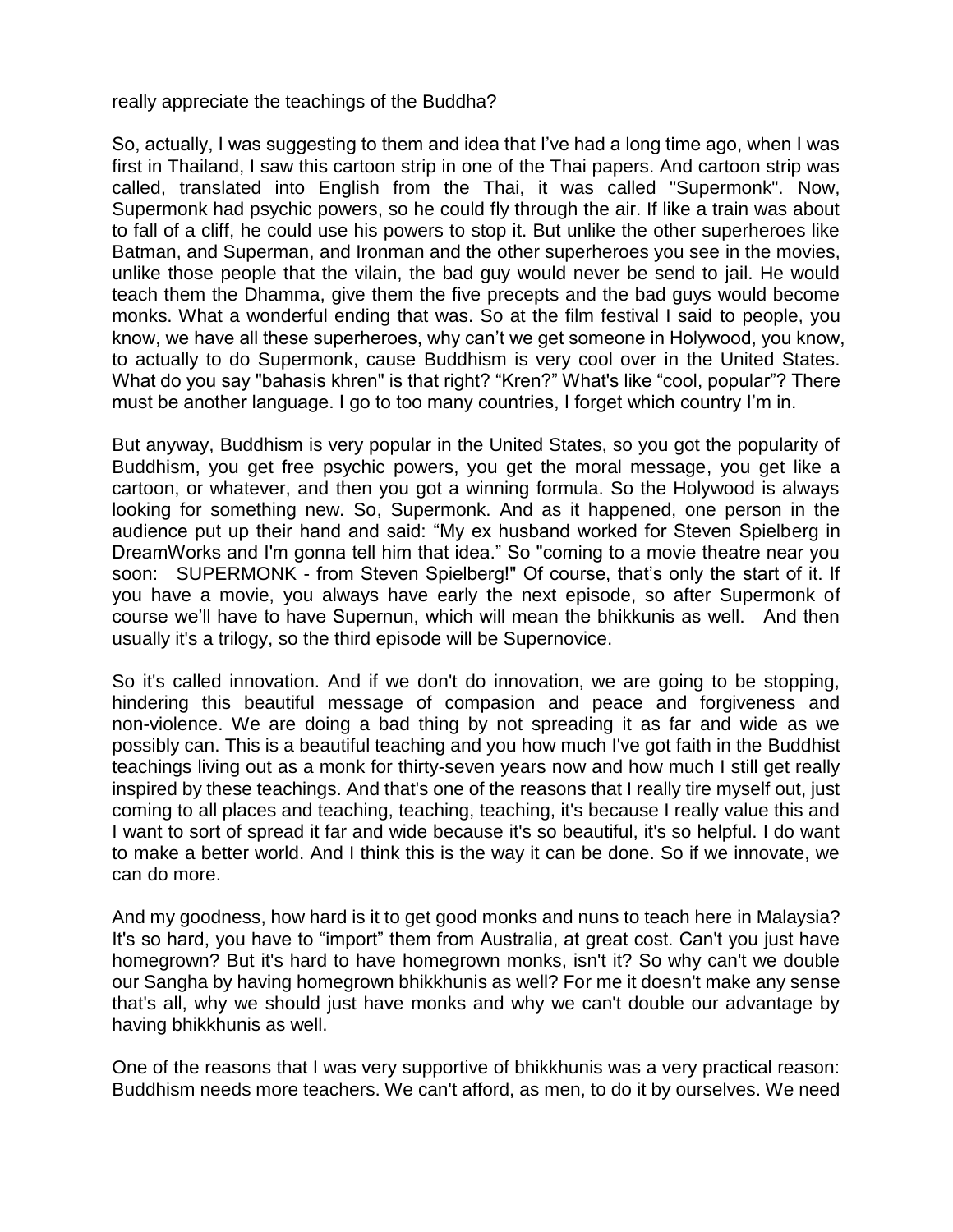really appreciate the teachings of the Buddha?

So, actually, I was suggesting to them and idea that I've had a long time ago, when I was first in Thailand, I saw this cartoon strip in one of the Thai papers. And cartoon strip was called, translated into English from the Thai, it was called "Supermonk". Now, Supermonk had psychic powers, so he could fly through the air. If like a train was about to fall of a cliff, he could use his powers to stop it. But unlike the other superheroes like Batman, and Superman, and Ironman and the other superheroes you see in the movies, unlike those people that the vilain, the bad guy would never be send to jail. He would teach them the Dhamma, give them the five precepts and the bad guys would become monks. What a wonderful ending that was. So at the film festival I said to people, you know, we have all these superheroes, why can't we get someone in Holywood, you know, to actually to do Supermonk, cause Buddhism is very cool over in the United States. What do you say "bahasis khren" is that right? "Kren?" What's like "cool, popular"? There must be another language. I go to too many countries, I forget which country I'm in.

But anyway, Buddhism is very popular in the United States, so you got the popularity of Buddhism, you get free psychic powers, you get the moral message, you get like a cartoon, or whatever, and then you got a winning formula. So the Holywood is always looking for something new. So, Supermonk. And as it happened, one person in the audience put up their hand and said: "My ex husband worked for Steven Spielberg in DreamWorks and I'm gonna tell him that idea." So "coming to a movie theatre near you soon: SUPERMONK - from Steven Spielberg!" Of course, that's only the start of it. If you have a movie, you always have early the next episode, so after Supermonk of course we'll have to have Supernun, which will mean the bhikkunis as well. And then usually it's a trilogy, so the third episode will be Supernovice.

So it's called innovation. And if we don't do innovation, we are going to be stopping, hindering this beautiful message of compasion and peace and forgiveness and non-violence. We are doing a bad thing by not spreading it as far and wide as we possibly can. This is a beautiful teaching and you how much I've got faith in the Buddhist teachings living out as a monk for thirty-seven years now and how much I still get really inspired by these teachings. And that's one of the reasons that I really tire myself out, just coming to all places and teaching, teaching, teaching, it's because I really value this and I want to sort of spread it far and wide because it's so beautiful, it's so helpful. I do want to make a better world. And I think this is the way it can be done. So if we innovate, we can do more.

And my goodness, how hard is it to get good monks and nuns to teach here in Malaysia? It's so hard, you have to "import" them from Australia, at great cost. Can't you just have homegrown? But it's hard to have homegrown monks, isn't it? So why can't we double our Sangha by having homegrown bhikkhunis as well? For me it doesn't make any sense that's all, why we should just have monks and why we can't double our advantage by having bhikkhunis as well.

One of the reasons that I was very supportive of bhikkhunis was a very practical reason: Buddhism needs more teachers. We can't afford, as men, to do it by ourselves. We need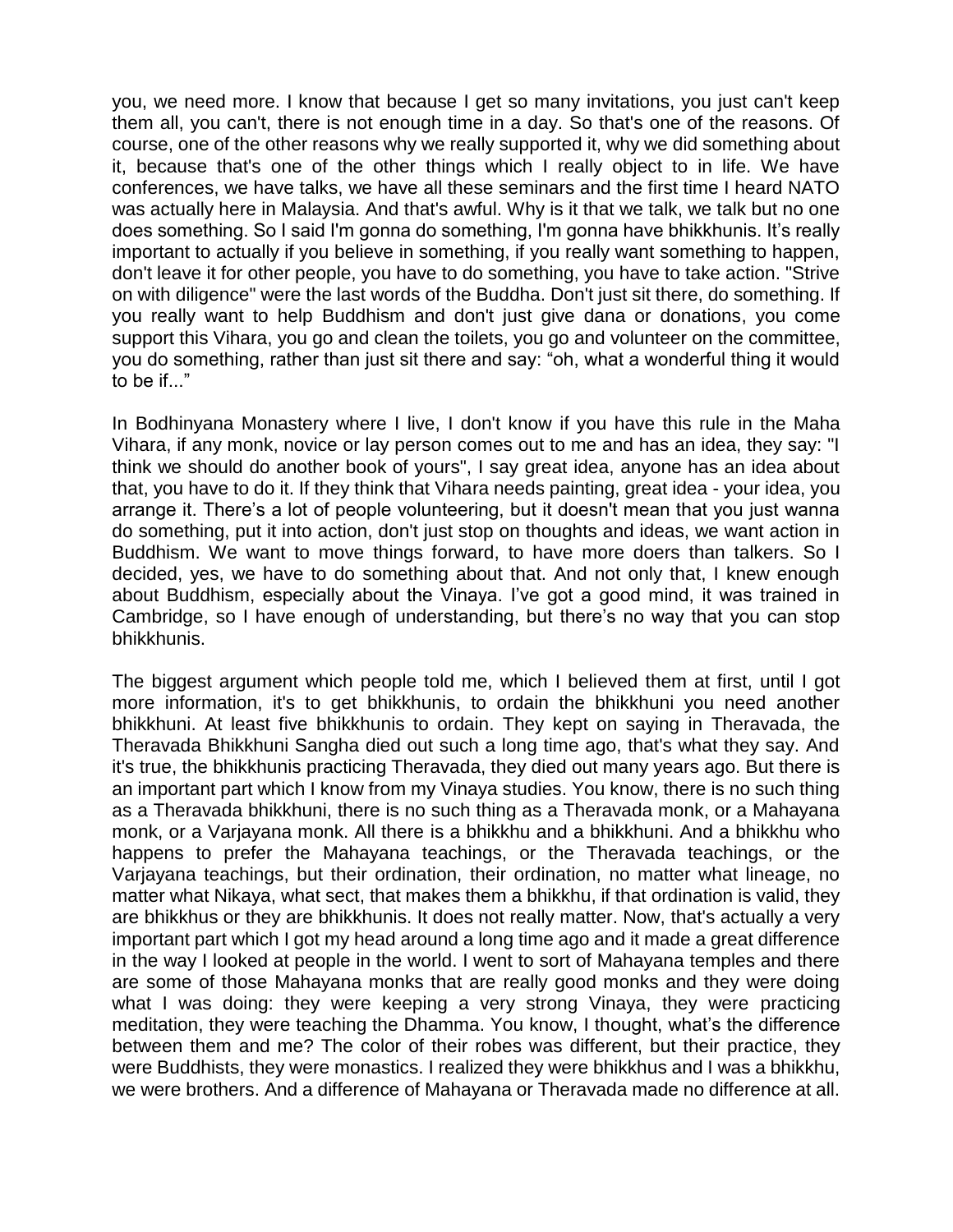you, we need more. I know that because I get so many invitations, you just can't keep them all, you can't, there is not enough time in a day. So that's one of the reasons. Of course, one of the other reasons why we really supported it, why we did something about it, because that's one of the other things which I really object to in life. We have conferences, we have talks, we have all these seminars and the first time I heard NATO was actually here in Malaysia. And that's awful. Why is it that we talk, we talk but no one does something. So I said I'm gonna do something, I'm gonna have bhikkhunis. It's really important to actually if you believe in something, if you really want something to happen, don't leave it for other people, you have to do something, you have to take action. "Strive on with diligence" were the last words of the Buddha. Don't just sit there, do something. If you really want to help Buddhism and don't just give dana or donations, you come support this Vihara, you go and clean the toilets, you go and volunteer on the committee, you do something, rather than just sit there and say: "oh, what a wonderful thing it would to be if..."

In Bodhinyana Monastery where I live, I don't know if you have this rule in the Maha Vihara, if any monk, novice or lay person comes out to me and has an idea, they say: "I think we should do another book of yours", I say great idea, anyone has an idea about that, you have to do it. If they think that Vihara needs painting, great idea - your idea, you arrange it. There's a lot of people volunteering, but it doesn't mean that you just wanna do something, put it into action, don't just stop on thoughts and ideas, we want action in Buddhism. We want to move things forward, to have more doers than talkers. So I decided, yes, we have to do something about that. And not only that, I knew enough about Buddhism, especially about the Vinaya. I've got a good mind, it was trained in Cambridge, so I have enough of understanding, but there's no way that you can stop bhikkhunis.

The biggest argument which people told me, which I believed them at first, until I got more information, it's to get bhikkhunis, to ordain the bhikkhuni you need another bhikkhuni. At least five bhikkhunis to ordain. They kept on saying in Theravada, the Theravada Bhikkhuni Sangha died out such a long time ago, that's what they say. And it's true, the bhikkhunis practicing Theravada, they died out many years ago. But there is an important part which I know from my Vinaya studies. You know, there is no such thing as a Theravada bhikkhuni, there is no such thing as a Theravada monk, or a Mahayana monk, or a Varjayana monk. All there is a bhikkhu and a bhikkhuni. And a bhikkhu who happens to prefer the Mahayana teachings, or the Theravada teachings, or the Varjayana teachings, but their ordination, their ordination, no matter what lineage, no matter what Nikaya, what sect, that makes them a bhikkhu, if that ordination is valid, they are bhikkhus or they are bhikkhunis. It does not really matter. Now, that's actually a very important part which I got my head around a long time ago and it made a great difference in the way I looked at people in the world. I went to sort of Mahayana temples and there are some of those Mahayana monks that are really good monks and they were doing what I was doing: they were keeping a very strong Vinaya, they were practicing meditation, they were teaching the Dhamma. You know, I thought, what's the difference between them and me? The color of their robes was different, but their practice, they were Buddhists, they were monastics. I realized they were bhikkhus and I was a bhikkhu, we were brothers. And a difference of Mahayana or Theravada made no difference at all.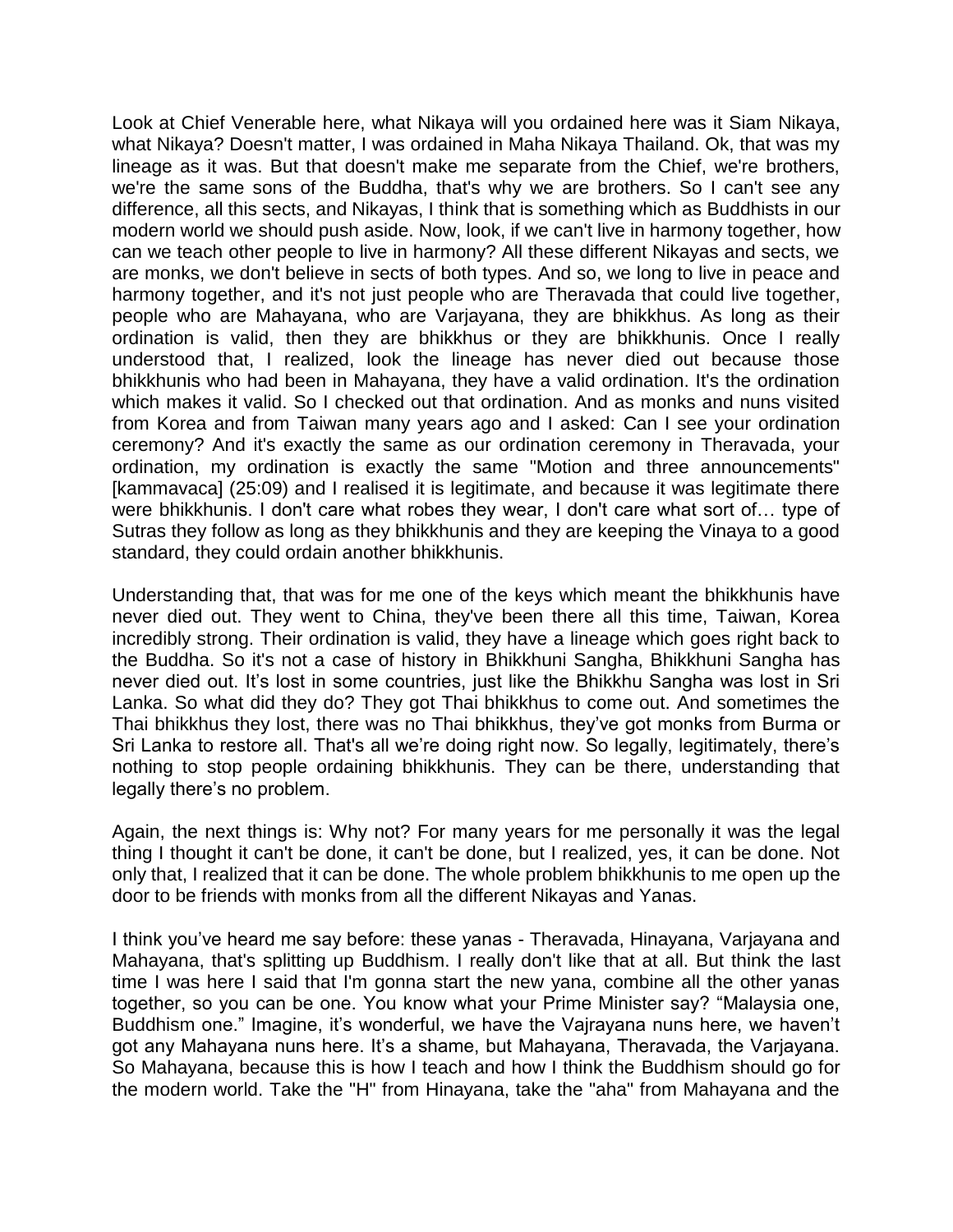Look at Chief Venerable here, what Nikaya will you ordained here was it Siam Nikaya, what Nikaya? Doesn't matter, I was ordained in Maha Nikaya Thailand. Ok, that was my lineage as it was. But that doesn't make me separate from the Chief, we're brothers, we're the same sons of the Buddha, that's why we are brothers. So I can't see any difference, all this sects, and Nikayas, I think that is something which as Buddhists in our modern world we should push aside. Now, look, if we can't live in harmony together, how can we teach other people to live in harmony? All these different Nikayas and sects, we are monks, we don't believe in sects of both types. And so, we long to live in peace and harmony together, and it's not just people who are Theravada that could live together, people who are Mahayana, who are Varjayana, they are bhikkhus. As long as their ordination is valid, then they are bhikkhus or they are bhikkhunis. Once I really understood that, I realized, look the lineage has never died out because those bhikkhunis who had been in Mahayana, they have a valid ordination. It's the ordination which makes it valid. So I checked out that ordination. And as monks and nuns visited from Korea and from Taiwan many years ago and I asked: Can I see your ordination ceremony? And it's exactly the same as our ordination ceremony in Theravada, your ordination, my ordination is exactly the same "Motion and three announcements" [kammavaca] (25:09) and I realised it is legitimate, and because it was legitimate there were bhikkhunis. I don't care what robes they wear, I don't care what sort of… type of Sutras they follow as long as they bhikkhunis and they are keeping the Vinaya to a good standard, they could ordain another bhikkhunis.

Understanding that, that was for me one of the keys which meant the bhikkhunis have never died out. They went to China, they've been there all this time, Taiwan, Korea incredibly strong. Their ordination is valid, they have a lineage which goes right back to the Buddha. So it's not a case of history in Bhikkhuni Sangha, Bhikkhuni Sangha has never died out. It's lost in some countries, just like the Bhikkhu Sangha was lost in Sri Lanka. So what did they do? They got Thai bhikkhus to come out. And sometimes the Thai bhikkhus they lost, there was no Thai bhikkhus, they've got monks from Burma or Sri Lanka to restore all. That's all we're doing right now. So legally, legitimately, there's nothing to stop people ordaining bhikkhunis. They can be there, understanding that legally there's no problem.

Again, the next things is: Why not? For many years for me personally it was the legal thing I thought it can't be done, it can't be done, but I realized, yes, it can be done. Not only that, I realized that it can be done. The whole problem bhikkhunis to me open up the door to be friends with monks from all the different Nikayas and Yanas.

I think you've heard me say before: these yanas - Theravada, Hinayana, Varjayana and Mahayana, that's splitting up Buddhism. I really don't like that at all. But think the last time I was here I said that I'm gonna start the new yana, combine all the other yanas together, so you can be one. You know what your Prime Minister say? "Malaysia one, Buddhism one." Imagine, it's wonderful, we have the Vajrayana nuns here, we haven't got any Mahayana nuns here. It's a shame, but Mahayana, Theravada, the Varjayana. So Mahayana, because this is how I teach and how I think the Buddhism should go for the modern world. Take the "H" from Hinayana, take the "aha" from Mahayana and the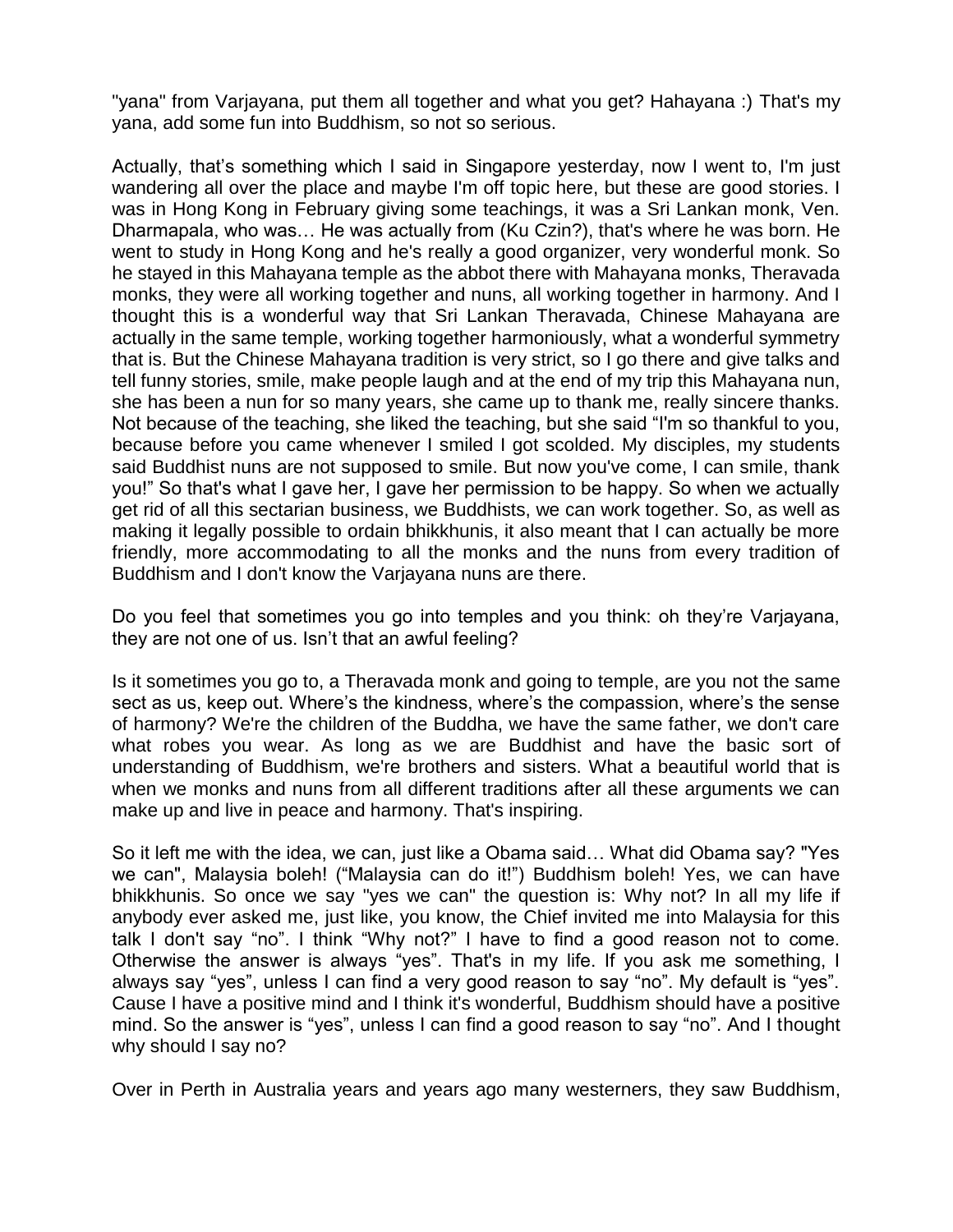"yana" from Varjayana, put them all together and what you get? Hahayana :) That's my yana, add some fun into Buddhism, so not so serious.

Actually, that's something which I said in Singapore yesterday, now I went to, I'm just wandering all over the place and maybe I'm off topic here, but these are good stories. I was in Hong Kong in February giving some teachings, it was a Sri Lankan monk, Ven. Dharmapala, who was… He was actually from (Ku Czin?), that's where he was born. He went to study in Hong Kong and he's really a good organizer, very wonderful monk. So he stayed in this Mahayana temple as the abbot there with Mahayana monks, Theravada monks, they were all working together and nuns, all working together in harmony. And I thought this is a wonderful way that Sri Lankan Theravada, Chinese Mahayana are actually in the same temple, working together harmoniously, what a wonderful symmetry that is. But the Chinese Mahayana tradition is very strict, so I go there and give talks and tell funny stories, smile, make people laugh and at the end of my trip this Mahayana nun, she has been a nun for so many years, she came up to thank me, really sincere thanks. Not because of the teaching, she liked the teaching, but she said "I'm so thankful to you, because before you came whenever I smiled I got scolded. My disciples, my students said Buddhist nuns are not supposed to smile. But now you've come, I can smile, thank you!" So that's what I gave her, I gave her permission to be happy. So when we actually get rid of all this sectarian business, we Buddhists, we can work together. So, as well as making it legally possible to ordain bhikkhunis, it also meant that I can actually be more friendly, more accommodating to all the monks and the nuns from every tradition of Buddhism and I don't know the Varjayana nuns are there.

Do you feel that sometimes you go into temples and you think: oh they're Varjayana, they are not one of us. Isn't that an awful feeling?

Is it sometimes you go to, a Theravada monk and going to temple, are you not the same sect as us, keep out. Where's the kindness, where's the compassion, where's the sense of harmony? We're the children of the Buddha, we have the same father, we don't care what robes you wear. As long as we are Buddhist and have the basic sort of understanding of Buddhism, we're brothers and sisters. What a beautiful world that is when we monks and nuns from all different traditions after all these arguments we can make up and live in peace and harmony. That's inspiring.

So it left me with the idea, we can, just like a Obama said… What did Obama say? "Yes we can", Malaysia boleh! ("Malaysia can do it!") Buddhism boleh! Yes, we can have bhikkhunis. So once we say "yes we can" the question is: Why not? In all my life if anybody ever asked me, just like, you know, the Chief invited me into Malaysia for this talk I don't say "no". I think "Why not?" I have to find a good reason not to come. Otherwise the answer is always "yes". That's in my life. If you ask me something, I always say "yes", unless I can find a very good reason to say "no". My default is "yes". Cause I have a positive mind and I think it's wonderful, Buddhism should have a positive mind. So the answer is "yes", unless I can find a good reason to say "no". And I thought why should I say no?

Over in Perth in Australia years and years ago many westerners, they saw Buddhism,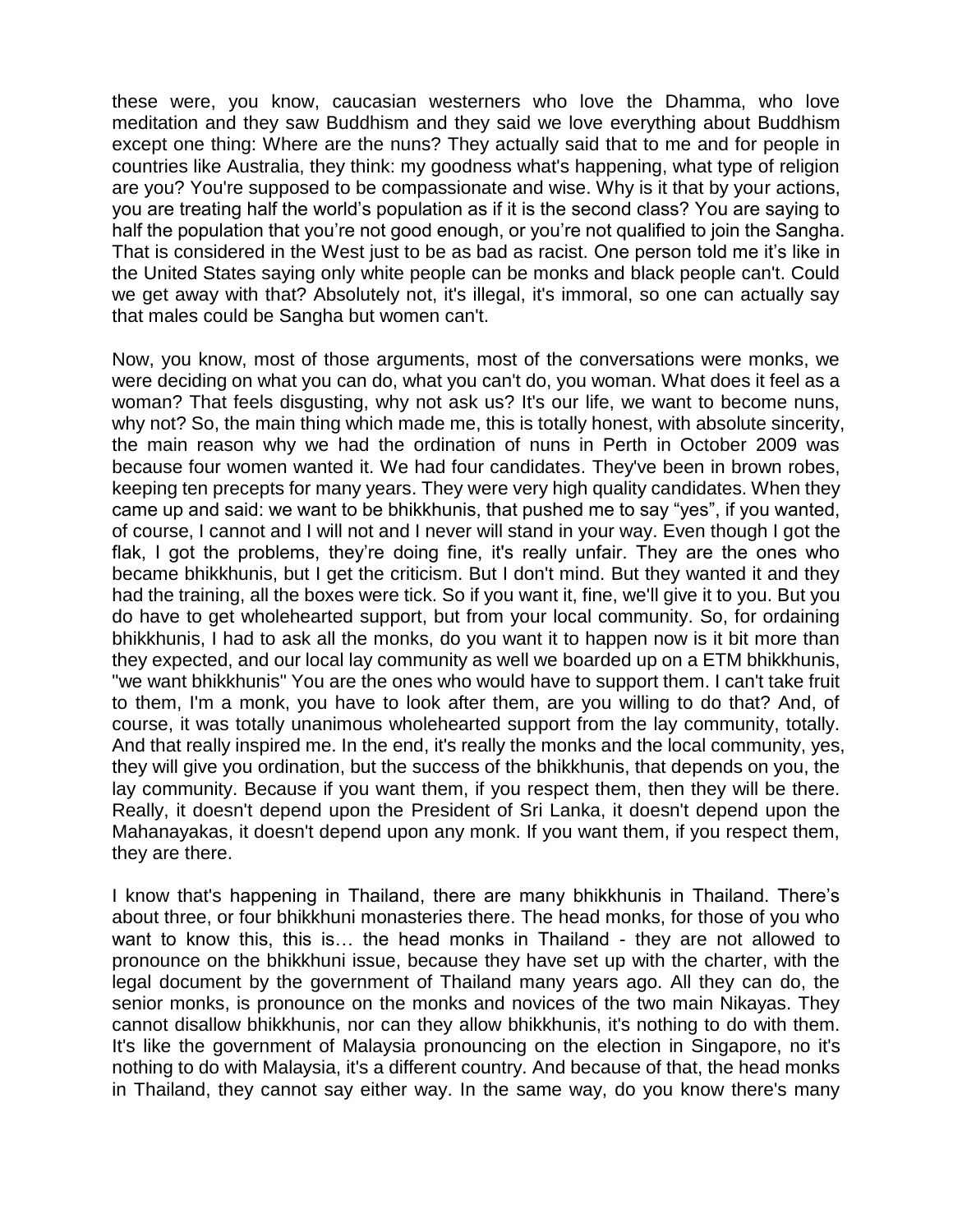these were, you know, caucasian westerners who love the Dhamma, who love meditation and they saw Buddhism and they said we love everything about Buddhism except one thing: Where are the nuns? They actually said that to me and for people in countries like Australia, they think: my goodness what's happening, what type of religion are you? You're supposed to be compassionate and wise. Why is it that by your actions, you are treating half the world's population as if it is the second class? You are saying to half the population that you're not good enough, or you're not qualified to join the Sangha. That is considered in the West just to be as bad as racist. One person told me it's like in the United States saying only white people can be monks and black people can't. Could we get away with that? Absolutely not, it's illegal, it's immoral, so one can actually say that males could be Sangha but women can't.

Now, you know, most of those arguments, most of the conversations were monks, we were deciding on what you can do, what you can't do, you woman. What does it feel as a woman? That feels disgusting, why not ask us? It's our life, we want to become nuns, why not? So, the main thing which made me, this is totally honest, with absolute sincerity, the main reason why we had the ordination of nuns in Perth in October 2009 was because four women wanted it. We had four candidates. They've been in brown robes, keeping ten precepts for many years. They were very high quality candidates. When they came up and said: we want to be bhikkhunis, that pushed me to say "yes", if you wanted, of course, I cannot and I will not and I never will stand in your way. Even though I got the flak, I got the problems, they're doing fine, it's really unfair. They are the ones who became bhikkhunis, but I get the criticism. But I don't mind. But they wanted it and they had the training, all the boxes were tick. So if you want it, fine, we'll give it to you. But you do have to get wholehearted support, but from your local community. So, for ordaining bhikkhunis, I had to ask all the monks, do you want it to happen now is it bit more than they expected, and our local lay community as well we boarded up on a ETM bhikkhunis, "we want bhikkhunis" You are the ones who would have to support them. I can't take fruit to them, I'm a monk, you have to look after them, are you willing to do that? And, of course, it was totally unanimous wholehearted support from the lay community, totally. And that really inspired me. In the end, it's really the monks and the local community, yes, they will give you ordination, but the success of the bhikkhunis, that depends on you, the lay community. Because if you want them, if you respect them, then they will be there. Really, it doesn't depend upon the President of Sri Lanka, it doesn't depend upon the Mahanayakas, it doesn't depend upon any monk. If you want them, if you respect them, they are there.

I know that's happening in Thailand, there are many bhikkhunis in Thailand. There's about three, or four bhikkhuni monasteries there. The head monks, for those of you who want to know this, this is... the head monks in Thailand - they are not allowed to pronounce on the bhikkhuni issue, because they have set up with the charter, with the legal document by the government of Thailand many years ago. All they can do, the senior monks, is pronounce on the monks and novices of the two main Nikayas. They cannot disallow bhikkhunis, nor can they allow bhikkhunis, it's nothing to do with them. It's like the government of Malaysia pronouncing on the election in Singapore, no it's nothing to do with Malaysia, it's a different country. And because of that, the head monks in Thailand, they cannot say either way. In the same way, do you know there's many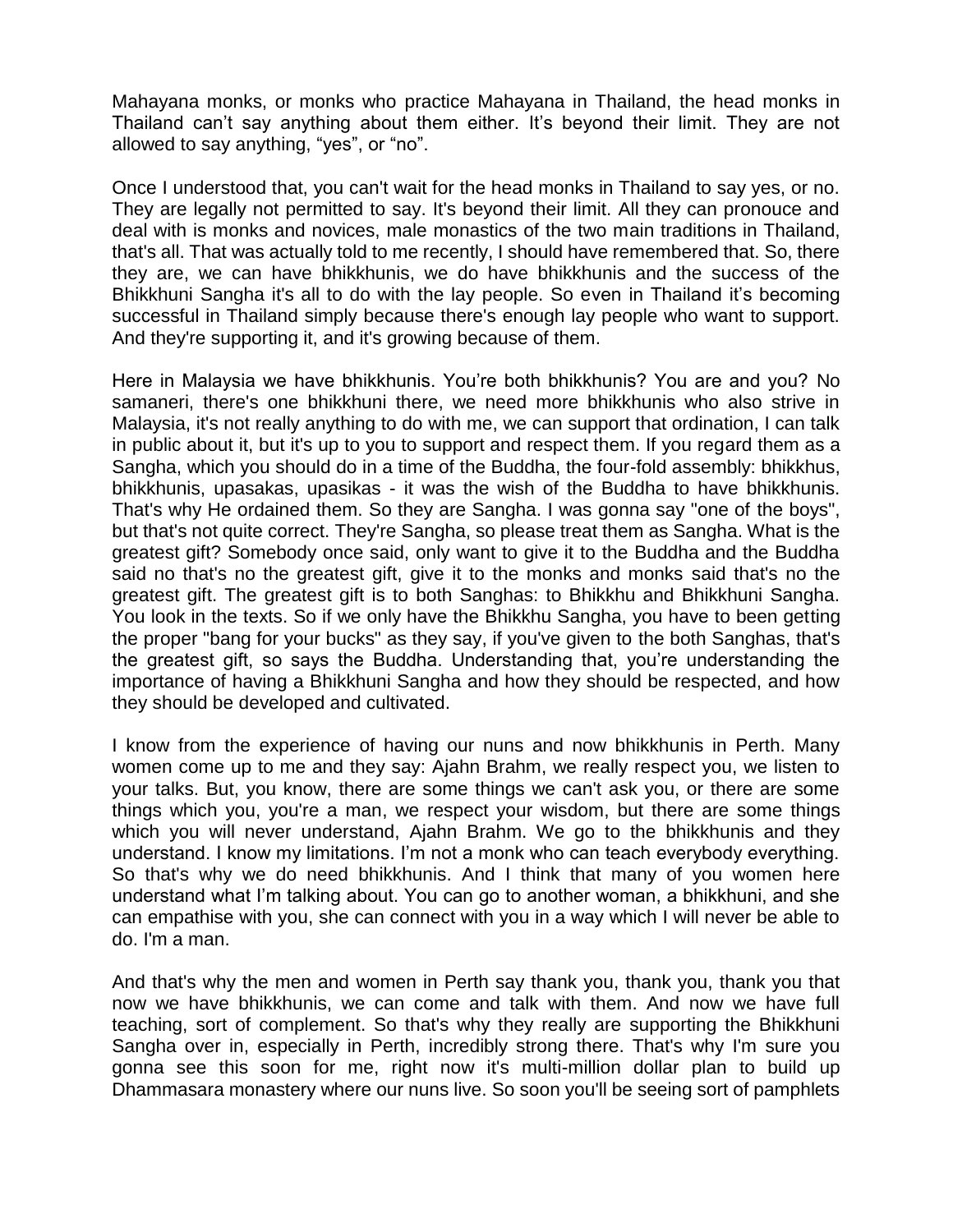Mahayana monks, or monks who practice Mahayana in Thailand, the head monks in Thailand can't say anything about them either. It's beyond their limit. They are not allowed to say anything, "yes", or "no".

Once I understood that, you can't wait for the head monks in Thailand to say yes, or no. They are legally not permitted to say. It's beyond their limit. All they can pronouce and deal with is monks and novices, male monastics of the two main traditions in Thailand, that's all. That was actually told to me recently, I should have remembered that. So, there they are, we can have bhikkhunis, we do have bhikkhunis and the success of the Bhikkhuni Sangha it's all to do with the lay people. So even in Thailand it's becoming successful in Thailand simply because there's enough lay people who want to support. And they're supporting it, and it's growing because of them.

Here in Malaysia we have bhikkhunis. You're both bhikkhunis? You are and you? No samaneri, there's one bhikkhuni there, we need more bhikkhunis who also strive in Malaysia, it's not really anything to do with me, we can support that ordination, I can talk in public about it, but it's up to you to support and respect them. If you regard them as a Sangha, which you should do in a time of the Buddha, the four-fold assembly: bhikkhus, bhikkhunis, upasakas, upasikas - it was the wish of the Buddha to have bhikkhunis. That's why He ordained them. So they are Sangha. I was gonna say "one of the boys", but that's not quite correct. They're Sangha, so please treat them as Sangha. What is the greatest gift? Somebody once said, only want to give it to the Buddha and the Buddha said no that's no the greatest gift, give it to the monks and monks said that's no the greatest gift. The greatest gift is to both Sanghas: to Bhikkhu and Bhikkhuni Sangha. You look in the texts. So if we only have the Bhikkhu Sangha, you have to been getting the proper "bang for your bucks" as they say, if you've given to the both Sanghas, that's the greatest gift, so says the Buddha. Understanding that, you're understanding the importance of having a Bhikkhuni Sangha and how they should be respected, and how they should be developed and cultivated.

I know from the experience of having our nuns and now bhikkhunis in Perth. Many women come up to me and they say: Ajahn Brahm, we really respect you, we listen to your talks. But, you know, there are some things we can't ask you, or there are some things which you, you're a man, we respect your wisdom, but there are some things which you will never understand, Ajahn Brahm. We go to the bhikkhunis and they understand. I know my limitations. I'm not a monk who can teach everybody everything. So that's why we do need bhikkhunis. And I think that many of you women here understand what I'm talking about. You can go to another woman, a bhikkhuni, and she can empathise with you, she can connect with you in a way which I will never be able to do. I'm a man.

And that's why the men and women in Perth say thank you, thank you, thank you that now we have bhikkhunis, we can come and talk with them. And now we have full teaching, sort of complement. So that's why they really are supporting the Bhikkhuni Sangha over in, especially in Perth, incredibly strong there. That's why I'm sure you gonna see this soon for me, right now it's multi-million dollar plan to build up Dhammasara monastery where our nuns live. So soon you'll be seeing sort of pamphlets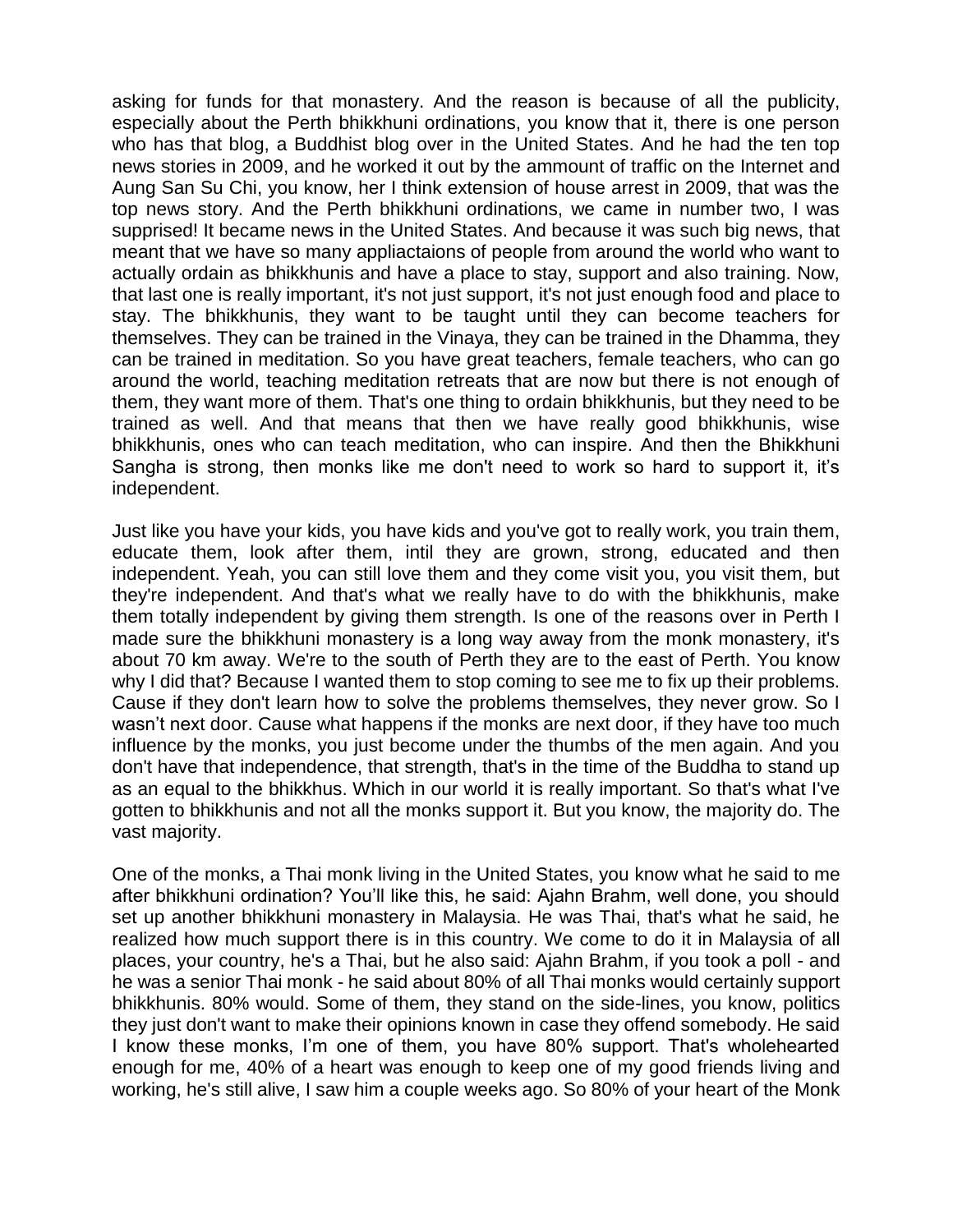asking for funds for that monastery. And the reason is because of all the publicity, especially about the Perth bhikkhuni ordinations, you know that it, there is one person who has that blog, a Buddhist blog over in the United States. And he had the ten top news stories in 2009, and he worked it out by the ammount of traffic on the Internet and Aung San Su Chi, you know, her I think extension of house arrest in 2009, that was the top news story. And the Perth bhikkhuni ordinations, we came in number two, I was supprised! It became news in the United States. And because it was such big news, that meant that we have so many appliactaions of people from around the world who want to actually ordain as bhikkhunis and have a place to stay, support and also training. Now, that last one is really important, it's not just support, it's not just enough food and place to stay. The bhikkhunis, they want to be taught until they can become teachers for themselves. They can be trained in the Vinaya, they can be trained in the Dhamma, they can be trained in meditation. So you have great teachers, female teachers, who can go around the world, teaching meditation retreats that are now but there is not enough of them, they want more of them. That's one thing to ordain bhikkhunis, but they need to be trained as well. And that means that then we have really good bhikkhunis, wise bhikkhunis, ones who can teach meditation, who can inspire. And then the Bhikkhuni Sangha is strong, then monks like me don't need to work so hard to support it, it's independent.

Just like you have your kids, you have kids and you've got to really work, you train them, educate them, look after them, intil they are grown, strong, educated and then independent. Yeah, you can still love them and they come visit you, you visit them, but they're independent. And that's what we really have to do with the bhikkhunis, make them totally independent by giving them strength. Is one of the reasons over in Perth I made sure the bhikkhuni monastery is a long way away from the monk monastery, it's about 70 km away. We're to the south of Perth they are to the east of Perth. You know why I did that? Because I wanted them to stop coming to see me to fix up their problems. Cause if they don't learn how to solve the problems themselves, they never grow. So I wasn't next door. Cause what happens if the monks are next door, if they have too much influence by the monks, you just become under the thumbs of the men again. And you don't have that independence, that strength, that's in the time of the Buddha to stand up as an equal to the bhikkhus. Which in our world it is really important. So that's what I've gotten to bhikkhunis and not all the monks support it. But you know, the majority do. The vast majority.

One of the monks, a Thai monk living in the United States, you know what he said to me after bhikkhuni ordination? You'll like this, he said: Ajahn Brahm, well done, you should set up another bhikkhuni monastery in Malaysia. He was Thai, that's what he said, he realized how much support there is in this country. We come to do it in Malaysia of all places, your country, he's a Thai, but he also said: Ajahn Brahm, if you took a poll - and he was a senior Thai monk - he said about 80% of all Thai monks would certainly support bhikkhunis. 80% would. Some of them, they stand on the side-lines, you know, politics they just don't want to make their opinions known in case they offend somebody. He said I know these monks, I'm one of them, you have 80% support. That's wholehearted enough for me, 40% of a heart was enough to keep one of my good friends living and working, he's still alive, I saw him a couple weeks ago. So 80% of your heart of the Monk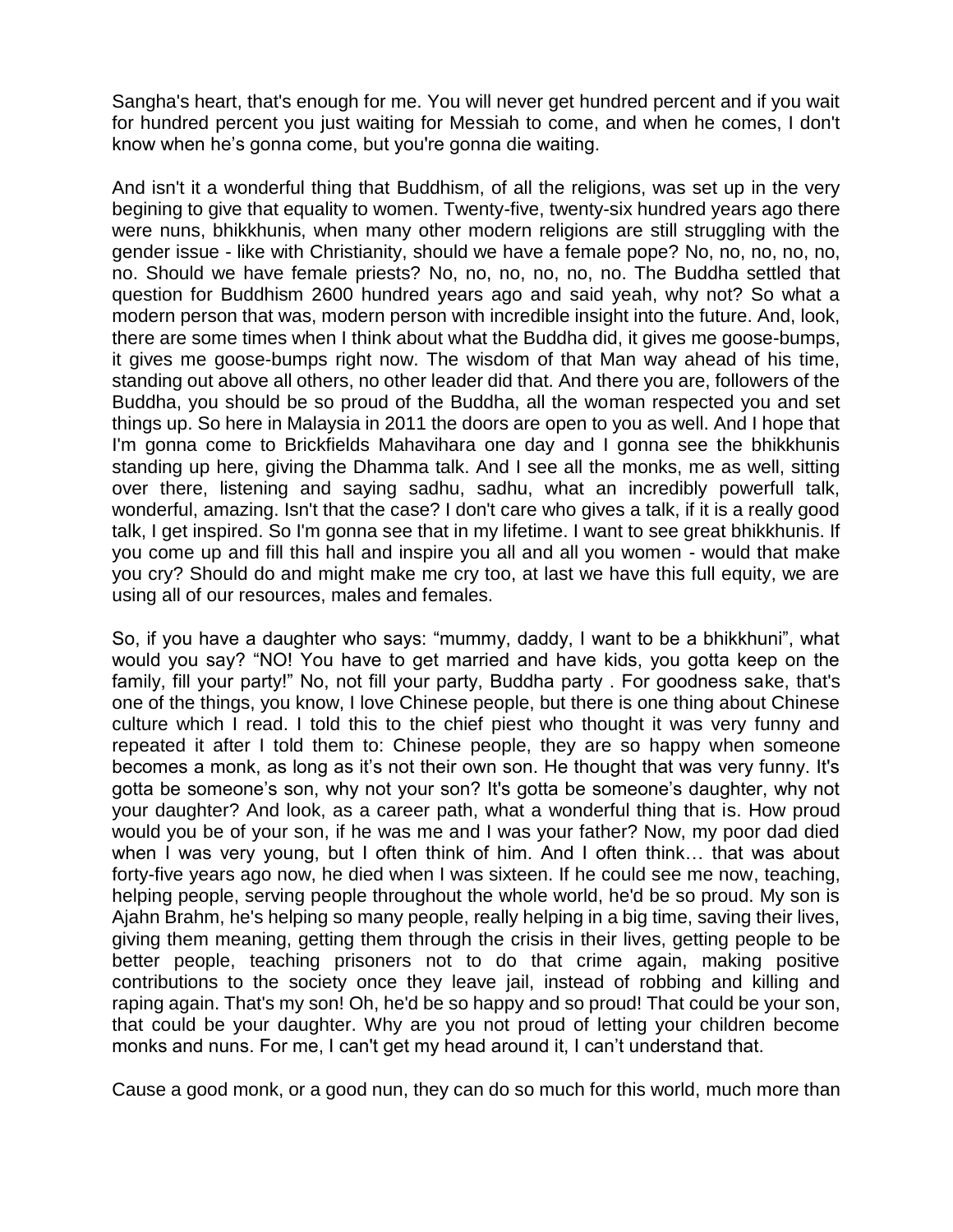Sangha's heart, that's enough for me. You will never get hundred percent and if you wait for hundred percent you just waiting for Messiah to come, and when he comes, I don't know when he's gonna come, but you're gonna die waiting.

And isn't it a wonderful thing that Buddhism, of all the religions, was set up in the very begining to give that equality to women. Twenty-five, twenty-six hundred years ago there were nuns, bhikkhunis, when many other modern religions are still struggling with the gender issue - like with Christianity, should we have a female pope? No, no, no, no, no, no. Should we have female priests? No, no, no, no, no, no. The Buddha settled that question for Buddhism 2600 hundred years ago and said yeah, why not? So what a modern person that was, modern person with incredible insight into the future. And, look, there are some times when I think about what the Buddha did, it gives me goose-bumps, it gives me goose-bumps right now. The wisdom of that Man way ahead of his time, standing out above all others, no other leader did that. And there you are, followers of the Buddha, you should be so proud of the Buddha, all the woman respected you and set things up. So here in Malaysia in 2011 the doors are open to you as well. And I hope that I'm gonna come to Brickfields Mahavihara one day and I gonna see the bhikkhunis standing up here, giving the Dhamma talk. And I see all the monks, me as well, sitting over there, listening and saying sadhu, sadhu, what an incredibly powerfull talk, wonderful, amazing. Isn't that the case? I don't care who gives a talk, if it is a really good talk, I get inspired. So I'm gonna see that in my lifetime. I want to see great bhikkhunis. If you come up and fill this hall and inspire you all and all you women - would that make you cry? Should do and might make me cry too, at last we have this full equity, we are using all of our resources, males and females.

So, if you have a daughter who says: "mummy, daddy, I want to be a bhikkhuni", what would you say? "NO! You have to get married and have kids, you gotta keep on the family, fill your party!" No, not fill your party, Buddha party . For goodness sake, that's one of the things, you know, I love Chinese people, but there is one thing about Chinese culture which I read. I told this to the chief piest who thought it was very funny and repeated it after I told them to: Chinese people, they are so happy when someone becomes a monk, as long as it's not their own son. He thought that was very funny. It's gotta be someone's son, why not your son? It's gotta be someone's daughter, why not your daughter? And look, as a career path, what a wonderful thing that is. How proud would you be of your son, if he was me and I was your father? Now, my poor dad died when I was very young, but I often think of him. And I often think... that was about forty-five years ago now, he died when I was sixteen. If he could see me now, teaching, helping people, serving people throughout the whole world, he'd be so proud. My son is Ajahn Brahm, he's helping so many people, really helping in a big time, saving their lives, giving them meaning, getting them through the crisis in their lives, getting people to be better people, teaching prisoners not to do that crime again, making positive contributions to the society once they leave jail, instead of robbing and killing and raping again. That's my son! Oh, he'd be so happy and so proud! That could be your son, that could be your daughter. Why are you not proud of letting your children become monks and nuns. For me, I can't get my head around it, I can't understand that.

Cause a good monk, or a good nun, they can do so much for this world, much more than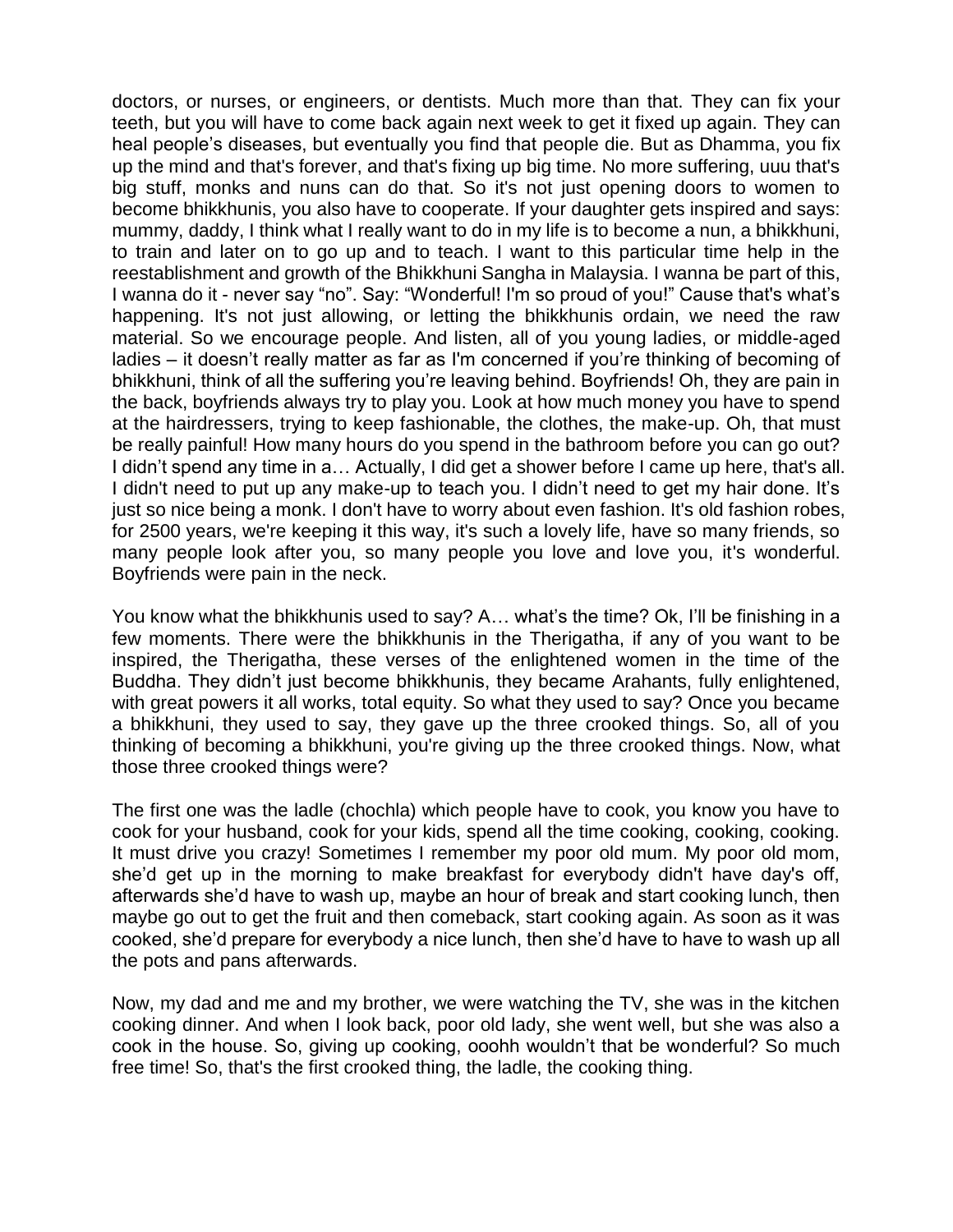doctors, or nurses, or engineers, or dentists. Much more than that. They can fix your teeth, but you will have to come back again next week to get it fixed up again. They can heal people's diseases, but eventually you find that people die. But as Dhamma, you fix up the mind and that's forever, and that's fixing up big time. No more suffering, uuu that's big stuff, monks and nuns can do that. So it's not just opening doors to women to become bhikkhunis, you also have to cooperate. If your daughter gets inspired and says: mummy, daddy, I think what I really want to do in my life is to become a nun, a bhikkhuni, to train and later on to go up and to teach. I want to this particular time help in the reestablishment and growth of the Bhikkhuni Sangha in Malaysia. I wanna be part of this, I wanna do it - never say "no". Say: "Wonderful! I'm so proud of you!" Cause that's what's happening. It's not just allowing, or letting the bhikkhunis ordain, we need the raw material. So we encourage people. And listen, all of you young ladies, or middle-aged ladies – it doesn't really matter as far as I'm concerned if you're thinking of becoming of bhikkhuni, think of all the suffering you're leaving behind. Boyfriends! Oh, they are pain in the back, boyfriends always try to play you. Look at how much money you have to spend at the hairdressers, trying to keep fashionable, the clothes, the make-up. Oh, that must be really painful! How many hours do you spend in the bathroom before you can go out? I didn't spend any time in a… Actually, I did get a shower before I came up here, that's all. I didn't need to put up any make-up to teach you. I didn't need to get my hair done. It's just so nice being a monk. I don't have to worry about even fashion. It's old fashion robes, for 2500 years, we're keeping it this way, it's such a lovely life, have so many friends, so many people look after you, so many people you love and love you, it's wonderful. Boyfriends were pain in the neck.

You know what the bhikkhunis used to say? A… what's the time? Ok, I'll be finishing in a few moments. There were the bhikkhunis in the Therigatha, if any of you want to be inspired, the Therigatha, these verses of the enlightened women in the time of the Buddha. They didn't just become bhikkhunis, they became Arahants, fully enlightened, with great powers it all works, total equity. So what they used to say? Once you became a bhikkhuni, they used to say, they gave up the three crooked things. So, all of you thinking of becoming a bhikkhuni, you're giving up the three crooked things. Now, what those three crooked things were?

The first one was the ladle (chochla) which people have to cook, you know you have to cook for your husband, cook for your kids, spend all the time cooking, cooking, cooking. It must drive you crazy! Sometimes I remember my poor old mum. My poor old mom, she'd get up in the morning to make breakfast for everybody didn't have day's off, afterwards she'd have to wash up, maybe an hour of break and start cooking lunch, then maybe go out to get the fruit and then comeback, start cooking again. As soon as it was cooked, she'd prepare for everybody a nice lunch, then she'd have to have to wash up all the pots and pans afterwards.

Now, my dad and me and my brother, we were watching the TV, she was in the kitchen cooking dinner. And when I look back, poor old lady, she went well, but she was also a cook in the house. So, giving up cooking, ooohh wouldn't that be wonderful? So much free time! So, that's the first crooked thing, the ladle, the cooking thing.